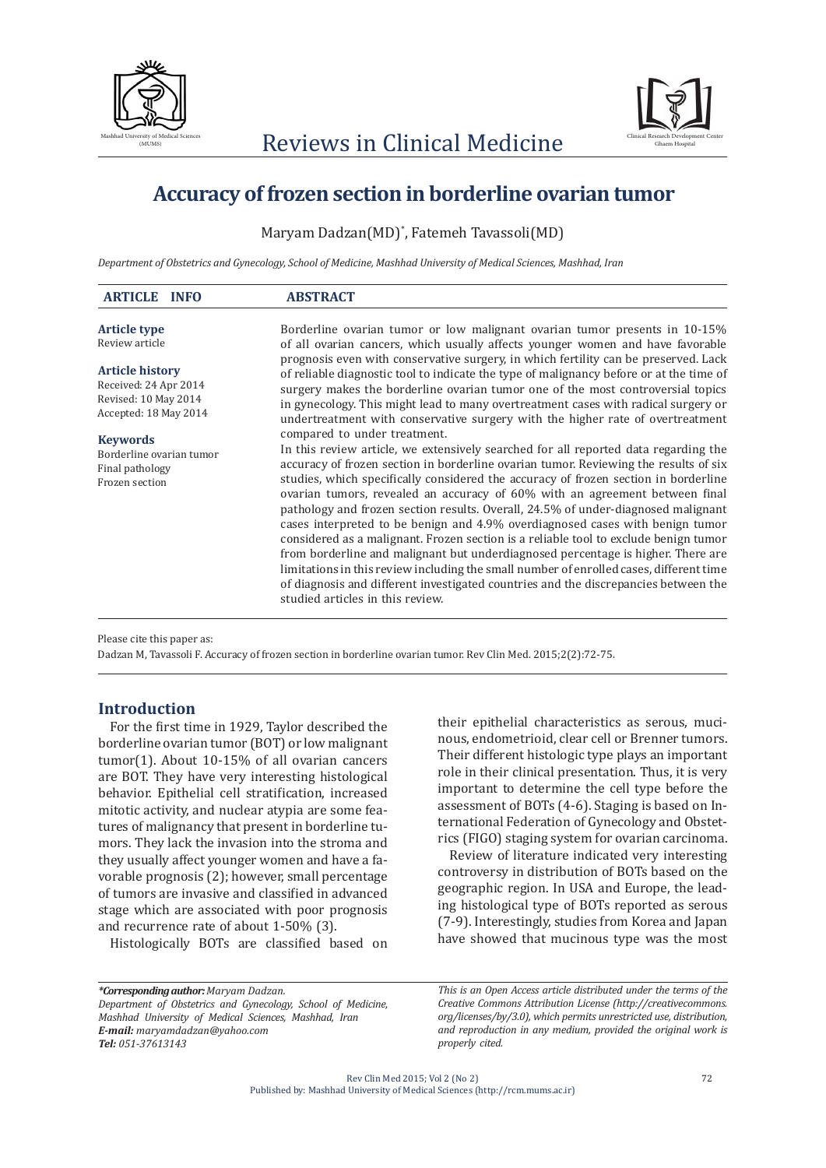



# **Accuracy of frozen section in borderline ovarian tumor**

Maryam Dadzan(MD)\* , Fatemeh Tavassoli(MD)

*Department of Obstetrics and Gynecology, School of Medicine, Mashhad University of Medical Sciences, Mashhad, Iran* 

| <b>ABSTRACT</b>                                                                                                                                                                                                                                                                                                                                                                                                                                                                                                                                                                                                                                                                                                                            |
|--------------------------------------------------------------------------------------------------------------------------------------------------------------------------------------------------------------------------------------------------------------------------------------------------------------------------------------------------------------------------------------------------------------------------------------------------------------------------------------------------------------------------------------------------------------------------------------------------------------------------------------------------------------------------------------------------------------------------------------------|
| Borderline ovarian tumor or low malignant ovarian tumor presents in 10-15%                                                                                                                                                                                                                                                                                                                                                                                                                                                                                                                                                                                                                                                                 |
| of all ovarian cancers, which usually affects younger women and have favorable<br>prognosis even with conservative surgery, in which fertility can be preserved. Lack                                                                                                                                                                                                                                                                                                                                                                                                                                                                                                                                                                      |
| of reliable diagnostic tool to indicate the type of malignancy before or at the time of                                                                                                                                                                                                                                                                                                                                                                                                                                                                                                                                                                                                                                                    |
| surgery makes the borderline ovarian tumor one of the most controversial topics                                                                                                                                                                                                                                                                                                                                                                                                                                                                                                                                                                                                                                                            |
| in gynecology. This might lead to many overtreatment cases with radical surgery or<br>undertreatment with conservative surgery with the higher rate of overtreatment                                                                                                                                                                                                                                                                                                                                                                                                                                                                                                                                                                       |
| compared to under treatment.                                                                                                                                                                                                                                                                                                                                                                                                                                                                                                                                                                                                                                                                                                               |
| In this review article, we extensively searched for all reported data regarding the                                                                                                                                                                                                                                                                                                                                                                                                                                                                                                                                                                                                                                                        |
| accuracy of frozen section in borderline ovarian tumor. Reviewing the results of six                                                                                                                                                                                                                                                                                                                                                                                                                                                                                                                                                                                                                                                       |
| studies, which specifically considered the accuracy of frozen section in borderline<br>ovarian tumors, revealed an accuracy of 60% with an agreement between final<br>pathology and frozen section results. Overall, 24.5% of under-diagnosed malignant<br>cases interpreted to be benign and 4.9% overdiagnosed cases with benign tumor<br>considered as a malignant. Frozen section is a reliable tool to exclude benign tumor<br>from borderline and malignant but underdiagnosed percentage is higher. There are<br>limitations in this review including the small number of enrolled cases, different time<br>of diagnosis and different investigated countries and the discrepancies between the<br>studied articles in this review. |
|                                                                                                                                                                                                                                                                                                                                                                                                                                                                                                                                                                                                                                                                                                                                            |

Please cite this paper as:

Dadzan M, Tavassoli F. Accuracy of frozen section in borderline ovarian tumor. Rev Clin Med. 2015;2(2):72-75.

## **Introduction**

For the first time in 1929, Taylor described the borderline ovarian tumor (BOT) or low malignant tumor(1). About 10-15% of all ovarian cancers are BOT. They have very interesting histological behavior. Epithelial cell stratification, increased mitotic activity, and nuclear atypia are some features of malignancy that present in borderline tumors. They lack the invasion into the stroma and they usually affect younger women and have a favorable prognosis (2); however, small percentage of tumors are invasive and classified in advanced stage which are associated with poor prognosis and recurrence rate of about 1-50% (3).

Histologically BOTs are classified based on

their epithelial characteristics as serous, mucinous, endometrioid, clear cell or Brenner tumors. Their different histologic type plays an important role in their clinical presentation. Thus, it is very important to determine the cell type before the assessment of BOTs (4-6). Staging is based on International Federation of Gynecology and Obstetrics (FIGO) staging system for ovarian carcinoma.

Review of literature indicated very interesting controversy in distribution of BOTs based on the geographic region. In USA and Europe, the leading histological type of BOTs reported as serous (7-9). Interestingly, studies from Korea and Japan have showed that mucinous type was the most

*\*Corresponding author: Maryam Dadzan. Department of Obstetrics and Gynecology, School of Medicine, Mashhad University of Medical Sciences, Mashhad, Iran E-mail: maryamdadzan@yahoo.com Tel: 051-37613143*

*This is an Open Access article distributed under the terms of the Creative Commons Attribution License (http://creativecommons. org/licenses/by/3.0), which permits unrestricted use, distribution, and reproduction in any medium, provided the original work is properly cited.*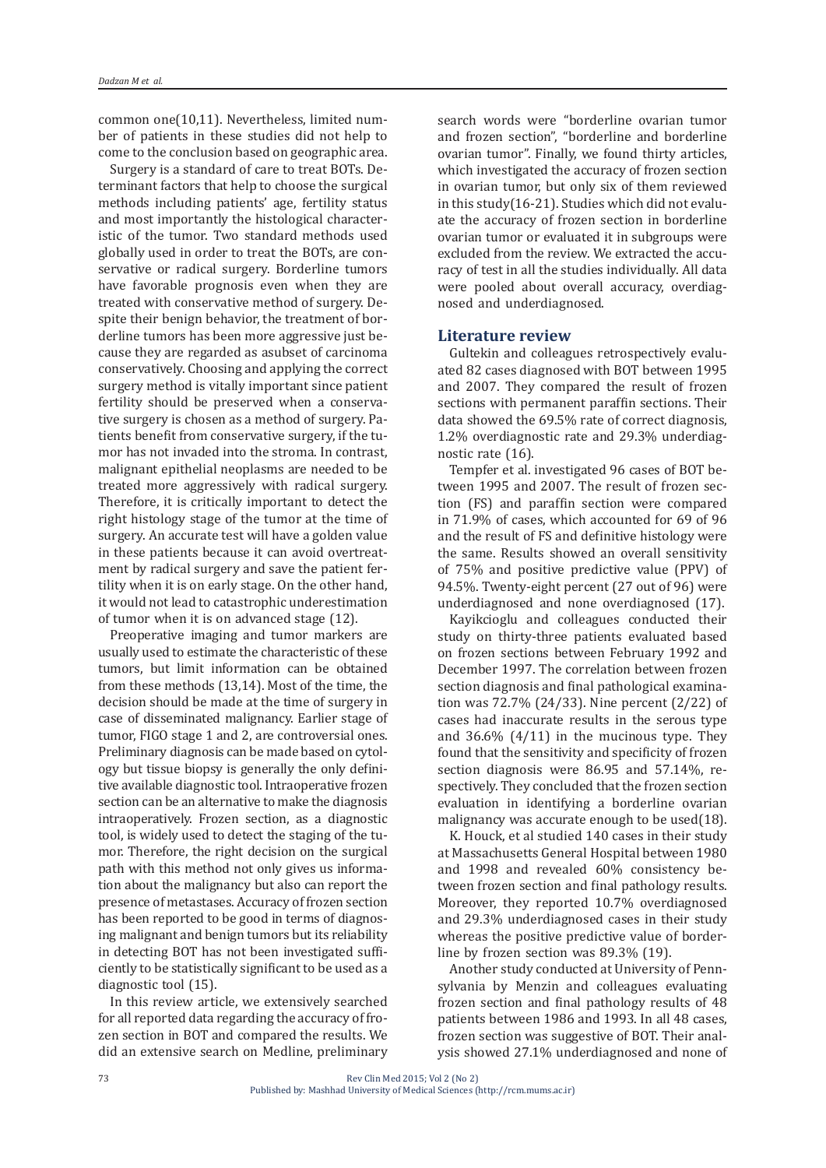common one(10,11). Nevertheless, limited number of patients in these studies did not help to come to the conclusion based on geographic area.

Surgery is a standard of care to treat BOTs. Determinant factors that help to choose the surgical methods including patients' age, fertility status and most importantly the histological characteristic of the tumor. Two standard methods used globally used in order to treat the BOTs, are conservative or radical surgery. Borderline tumors have favorable prognosis even when they are treated with conservative method of surgery. Despite their benign behavior, the treatment of borderline tumors has been more aggressive just because they are regarded as asubset of carcinoma conservatively. Choosing and applying the correct surgery method is vitally important since patient fertility should be preserved when a conservative surgery is chosen as a method of surgery. Patients benefit from conservative surgery, if the tumor has not invaded into the stroma. In contrast, malignant epithelial neoplasms are needed to be treated more aggressively with radical surgery. Therefore, it is critically important to detect the right histology stage of the tumor at the time of surgery. An accurate test will have a golden value in these patients because it can avoid overtreatment by radical surgery and save the patient fertility when it is on early stage. On the other hand, it would not lead to catastrophic underestimation of tumor when it is on advanced stage (12).

Preoperative imaging and tumor markers are usually used to estimate the characteristic of these tumors, but limit information can be obtained from these methods (13,14). Most of the time, the decision should be made at the time of surgery in case of disseminated malignancy. Earlier stage of tumor, FIGO stage 1 and 2, are controversial ones. Preliminary diagnosis can be made based on cytology but tissue biopsy is generally the only definitive available diagnostic tool. Intraoperative frozen section can be an alternative to make the diagnosis intraoperatively. Frozen section, as a diagnostic tool, is widely used to detect the staging of the tumor. Therefore, the right decision on the surgical path with this method not only gives us information about the malignancy but also can report the presence of metastases. Accuracy of frozen section has been reported to be good in terms of diagnosing malignant and benign tumors but its reliability in detecting BOT has not been investigated sufficiently to be statistically significant to be used as a diagnostic tool (15).

In this review article, we extensively searched for all reported data regarding the accuracy of frozen section in BOT and compared the results. We did an extensive search on Medline, preliminary search words were "borderline ovarian tumor and frozen section", "borderline and borderline ovarian tumor". Finally, we found thirty articles, which investigated the accuracy of frozen section in ovarian tumor, but only six of them reviewed in this study(16-21). Studies which did not evaluate the accuracy of frozen section in borderline ovarian tumor or evaluated it in subgroups were excluded from the review. We extracted the accuracy of test in all the studies individually. All data were pooled about overall accuracy, overdiagnosed and underdiagnosed.

#### **Literature review**

Gultekin and colleagues retrospectively evaluated 82 cases diagnosed with BOT between 1995 and 2007. They compared the result of frozen sections with permanent paraffin sections. Their data showed the 69.5% rate of correct diagnosis, 1.2% overdiagnostic rate and 29.3% underdiagnostic rate (16).

Tempfer et al. investigated 96 cases of BOT between 1995 and 2007. The result of frozen section (FS) and paraffin section were compared in 71.9% of cases, which accounted for 69 of 96 and the result of FS and definitive histology were the same. Results showed an overall sensitivity of 75% and positive predictive value (PPV) of 94.5%. Twenty-eight percent (27 out of 96) were underdiagnosed and none overdiagnosed (17).

Kayikcioglu and colleagues conducted their study on thirty-three patients evaluated based on frozen sections between February 1992 and December 1997. The correlation between frozen section diagnosis and final pathological examination was 72.7% (24/33). Nine percent (2/22) of cases had inaccurate results in the serous type and  $36.6\%$   $(4/11)$  in the mucinous type. They found that the sensitivity and specificity of frozen section diagnosis were 86.95 and 57.14%, respectively. They concluded that the frozen section evaluation in identifying a borderline ovarian malignancy was accurate enough to be used(18).

K. Houck, et al studied 140 cases in their study at Massachusetts General Hospital between 1980 and 1998 and revealed 60% consistency between frozen section and final pathology results. Moreover, they reported 10.7% overdiagnosed and 29.3% underdiagnosed cases in their study whereas the positive predictive value of borderline by frozen section was 89.3% (19).

Another study conducted at University of Pennsylvania by Menzin and colleagues evaluating frozen section and final pathology results of 48 patients between 1986 and 1993. In all 48 cases, frozen section was suggestive of BOT. Their analysis showed 27.1% underdiagnosed and none of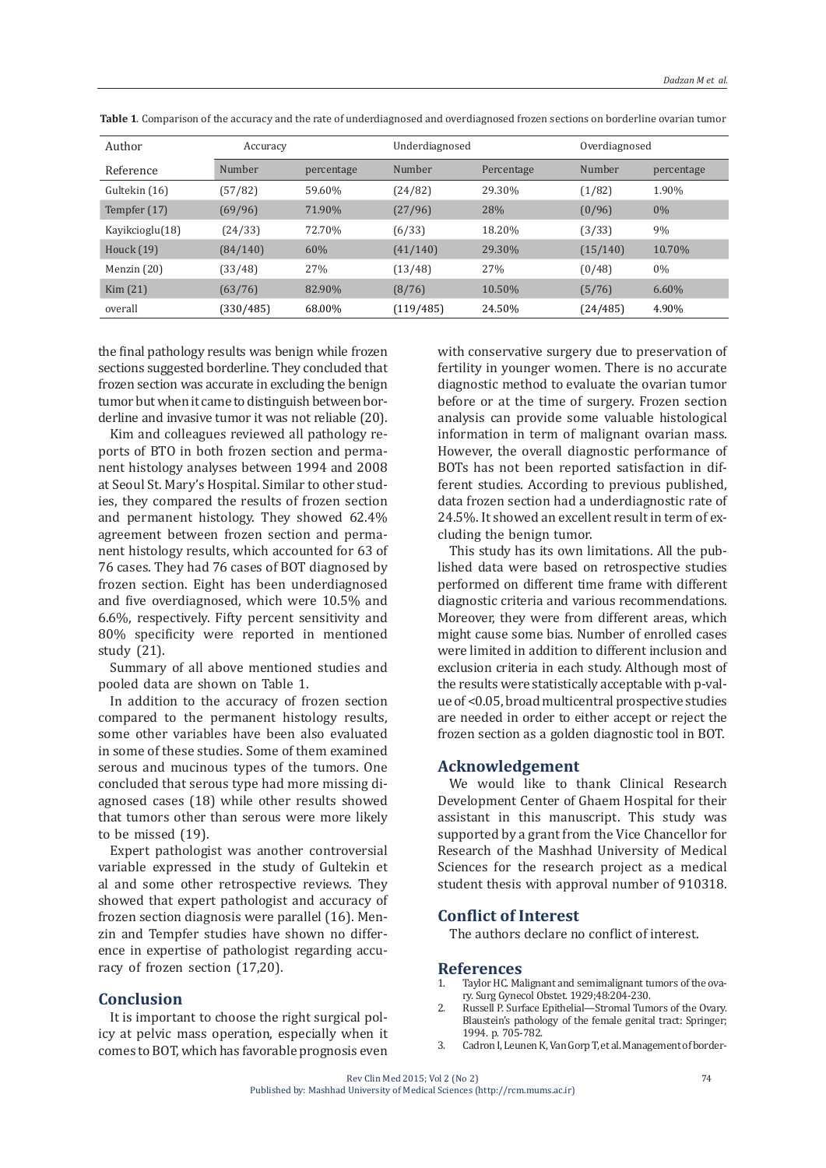| Author          | Accuracy  |            | Underdiagnosed |            | Overdiagnosed |            |
|-----------------|-----------|------------|----------------|------------|---------------|------------|
| Reference       | Number    | percentage | Number         | Percentage | Number        | percentage |
| Gultekin (16)   | (57/82)   | 59.60%     | (24/82)        | 29.30%     | (1/82)        | 1.90%      |
| Tempfer (17)    | (69/96)   | 71.90%     | (27/96)        | 28%        | (0/96)        | $0\%$      |
| Kayikcioglu(18) | (24/33)   | 72.70%     | (6/33)         | 18.20%     | (3/33)        | 9%         |
| Houck $(19)$    | (84/140)  | 60%        | (41/140)       | 29.30%     | (15/140)      | 10.70%     |
| Menzin $(20)$   | (33/48)   | 27%        | (13/48)        | 27%        | (0/48)        | $0\%$      |
| Kim (21)        | (63/76)   | 82.90%     | (8/76)         | 10.50%     | (5/76)        | $6.60\%$   |
| overall         | (330/485) | 68.00%     | (119/485)      | 24.50%     | (24/485)      | 4.90%      |

**Table 1**. Comparison of the accuracy and the rate of underdiagnosed and overdiagnosed frozen sections on borderline ovarian tumor

the final pathology results was benign while frozen sections suggested borderline. They concluded that frozen section was accurate in excluding the benign tumor but when it came to distinguish between borderline and invasive tumor it was not reliable (20).

Kim and colleagues reviewed all pathology reports of BTO in both frozen section and permanent histology analyses between 1994 and 2008 at Seoul St. Mary's Hospital. Similar to other studies, they compared the results of frozen section and permanent histology. They showed 62.4% agreement between frozen section and permanent histology results, which accounted for 63 of 76 cases. They had 76 cases of BOT diagnosed by frozen section. Eight has been underdiagnosed and five overdiagnosed, which were 10.5% and 6.6%, respectively. Fifty percent sensitivity and 80% specificity were reported in mentioned study (21).

Summary of all above mentioned studies and pooled data are shown on Table 1.

In addition to the accuracy of frozen section compared to the permanent histology results, some other variables have been also evaluated in some of these studies. Some of them examined serous and mucinous types of the tumors. One concluded that serous type had more missing diagnosed cases (18) while other results showed that tumors other than serous were more likely to be missed (19).

Expert pathologist was another controversial variable expressed in the study of Gultekin et al and some other retrospective reviews. They showed that expert pathologist and accuracy of frozen section diagnosis were parallel (16). Menzin and Tempfer studies have shown no difference in expertise of pathologist regarding accuracy of frozen section (17,20).

### **Conclusion**

It is important to choose the right surgical policy at pelvic mass operation, especially when it comes to BOT, which has favorable prognosis even

with conservative surgery due to preservation of fertility in younger women. There is no accurate diagnostic method to evaluate the ovarian tumor before or at the time of surgery. Frozen section analysis can provide some valuable histological information in term of malignant ovarian mass. However, the overall diagnostic performance of BOTs has not been reported satisfaction in different studies. According to previous published, data frozen section had a underdiagnostic rate of 24.5%. It showed an excellent result in term of excluding the benign tumor.

This study has its own limitations. All the published data were based on retrospective studies performed on different time frame with different diagnostic criteria and various recommendations. Moreover, they were from different areas, which might cause some bias. Number of enrolled cases were limited in addition to different inclusion and exclusion criteria in each study. Although most of the results were statistically acceptable with p-value of <0.05, broad multicentral prospective studies are needed in order to either accept or reject the frozen section as a golden diagnostic tool in BOT.

## **Acknowledgement**

We would like to thank Clinical Research Development Center of Ghaem Hospital for their assistant in this manuscript. This study was supported by a grant from the Vice Chancellor for Research of the Mashhad University of Medical Sciences for the research project as a medical student thesis with approval number of 910318.

## **Conflict of Interest**

The authors declare no conflict of interest.

#### **References**

- 1. Taylor HC. Malignant and semimalignant tumors of the ovary. Surg Gynecol Obstet. 1929;48:204-230.
- Russell P. Surface Epithelial—Stromal Tumors of the Ovary. Blaustein's pathology of the female genital tract: Springer; 1994. p. 705-782.
- 3. Cadron I, Leunen K, Van Gorp T, et al. Management of border-